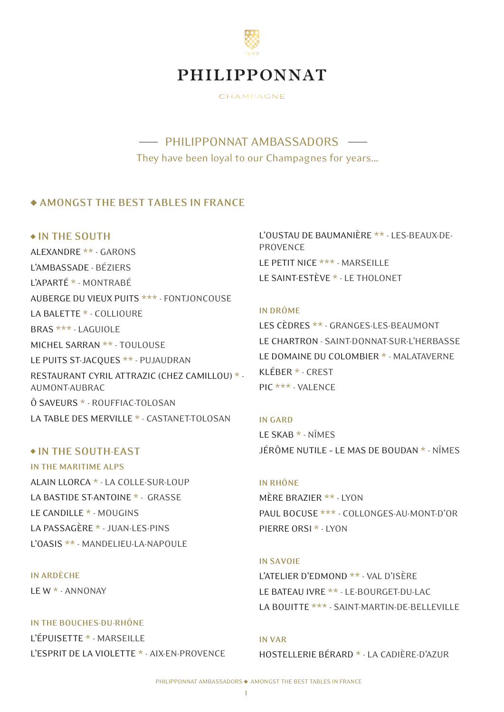

CHAMPAGNE

- PHILIPPONNAT AMBASSADORS -They have been loyal to our Champagnes for years…

### **AMONGST THE BEST TABLES IN FRANCE**

### **IN THE SOUTH**

ALEXANDRE \*\* - GARONS L'AMBASSADE - BÉZIERS L'APARTÉ \* - MONTRABÉ AUBERGE DU VIEUX PUITS \*\*\* - FONTJONCOUSE LA BALETTE \* - COLLIOURE BRAS \*\*\* - LAGUIOLE MICHEL SARRAN \*\* - TOULOUSE LE PUITS ST-JACQUES \*\* - PUJAUDRAN RESTAURANT CYRIL ATTRAZIC (CHEZ CAMILLOU) \* - AUMONT-AUBRAC Ô SAVEURS \* - ROUFFIAC-TOLOSAN LA TABLE DES MERVILLE \* - CASTANET-TOLOSAN

### **IN THE SOUTH-EAST**

**IN THE MARITIME ALPS** ALAIN LLORCA \* - LA COLLE-SUR-LOUP LA BASTIDE ST-ANTOINE \* - GRASSE LE CANDILLE \* - MOUGINS LA PASSAGÈRE \* - JUAN-LES-PINS L'OASIS \*\* - MANDELIEU-LA-NAPOULE

### **IN ARDÈCHE**

LE W \* - ANNONAY

#### **IN THE BOUCHES-DU-RHÔNE**

L'ÉPUISETTE \* - MARSEILLE L'ESPRIT DE LA VIOLETTE \* - AIX-EN-PROVENCE L'OUSTAU DE BAUMANIÈRE \*\* - LES-BEAUX-DE-PROVENCE LE PETIT NICE \*\*\* - MARSEILLE LE SAINT-ESTÈVE \* - LE THOLONET

### **IN DRÔME**

LES CÈDRES \*\* - GRANGES-LES-BEAUMONT LE CHARTRON - SAINT-DONNAT-SUR-L'HERBASSE LE DOMAINE DU COLOMBIER \* - MALATAVERNE KLÉBER \* - CREST PIC \*\*\* - VALENCE

**IN GARD** LE SKAB \* - NÎMES JÉRÔME NUTILE – LE MAS DE BOUDAN \* - NÎMES

## **IN RHÔNE**

MÈRE BRAZIER \*\* - LYON PAUL BOCUSE \*\*\* - COLLONGES-AU-MONT-D'OR PIERRE ORSI \* - LYON

### **IN SAVOIE**

L'ATELIER D'EDMOND \*\* - VAL D'ISÈRE LE BATEAU IVRE \*\* - LE-BOURGET-DU-LAC LA BOUITTE \*\*\* - SAINT-MARTIN-DE-BELLEVILLE

**IN VAR** HOSTELLERIE BÉRARD \* - LA CADIÈRE-D'AZUR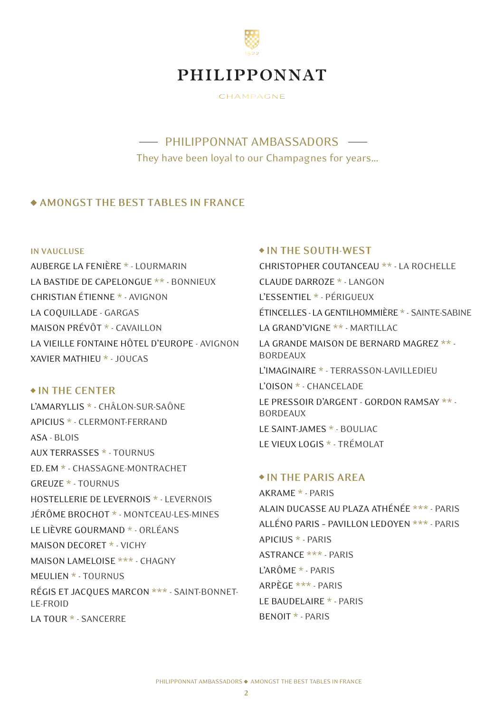

CHAMPAGNE

# - PHILIPPONNAT AMBASSADORS -They have been loyal to our Champagnes for years…

### **AMONGST THE BEST TABLES IN FRANCE**

#### **IN VAUCLUSE**

AUBERGE LA FENIÈRE \* - LOURMARIN LA BASTIDE DE CAPELONGUE \*\* - BONNIEUX CHRISTIAN ÉTIENNE \* - AVIGNON LA COQUILLADE - GARGAS MAISON PRÉVÔT \* - CAVAILLON LA VIEILLE FONTAINE HÔTEL D'EUROPE - AVIGNON XAVIER MATHIEU \* - JOUCAS

### **IN THE CENTER**

L'AMARYLLIS \* - CHÂLON-SUR-SAÔNE APICIUS \* - CLERMONT-FERRAND ASA - BLOIS AUX TERRASSES \* - TOURNUS ED. EM \* - CHASSAGNE-MONTRACHET GREUZE \* - TOURNUS HOSTELLERIE DE LEVERNOIS \* - LEVERNOIS JÉRÔME BROCHOT \* - MONTCEAU-LES-MINES LE LIÈVRE GOURMAND \* - ORLÉANS MAISON DECORET \* - VICHY MAISON LAMELOISE \*\*\* - CHAGNY MEULIEN \* - TOURNUS RÉGIS ET JACQUES MARCON \*\*\* - SAINT-BONNET-LE-FROID LA TOUR \* - SANCERRE

#### **IN THE SOUTH-WEST**

CHRISTOPHER COUTANCEAU \*\* - LA ROCHELLE CLAUDE DARROZE \* - LANGON L'ESSENTIEL \* - PÉRIGUEUX ÉTINCELLES - LA GENTILHOMMIÈRE \* - SAINTE-SABINE LA GRAND'VIGNE \*\* - MARTILLAC LA GRANDE MAISON DE BERNARD MAGREZ \*\* - BORDEAUX L'IMAGINAIRE \* - TERRASSON-LAVILLEDIEU L'OISON \* - CHANCELADE LE PRESSOIR D'ARGENT - GORDON RAMSAY \*\* - BORDEAUX LE SAINT-JAMES \* - BOULIAC LE VIEUX LOGIS \* - TRÉMOLAT

### **IN THE PARIS AREA**

AKRAME \* - PARIS ALAIN DUCASSE AU PLAZA ATHÉNÉE \*\*\* - PARIS ALLÉNO PARIS – PAVILLON LEDOYEN \*\*\* - PARIS APICIUS \* - PARIS ASTRANCE \*\*\* - PARIS L'ARÔME \* - PARIS ARPÈGE \*\*\* - PARIS LE BAUDELAIRE \* - PARIS BENOIT \* - PARIS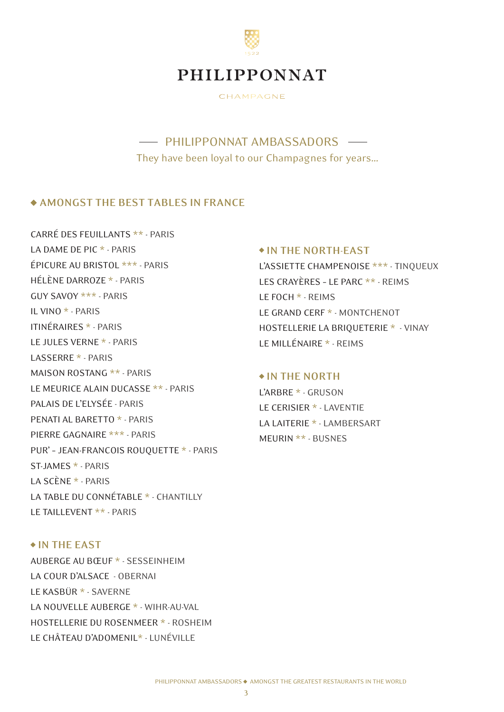

CHAMPAGNE

# - PHILIPPONNAT AMBASSADORS They have been loyal to our Champagnes for years…

### **AMONGST THE BEST TABLES IN FRANCE**

CARRÉ DES FEUILLANTS \*\* - PARIS LA DAME DE PIC \* - PARIS ÉPICURE AU BRISTOL \*\*\* - PARIS HÉLÈNE DARROZE \* - PARIS GUY SAVOY \*\*\* - PARIS IL VINO \* - PARIS ITINÉRAIRES \* - PARIS LE JULES VERNE \* - PARIS LASSERRE \* - PARIS MAISON ROSTANG \*\* - PARIS LE MEURICE ALAIN DUCASSE \*\* - PARIS PALAIS DE L'ELYSÉE - PARIS PENATI AL BARETTO \* - PARIS PIERRE GAGNAIRE \*\*\* - PARIS PUR' – JEAN-FRANCOIS ROUQUETTE \* - PARIS ST-JAMES \* - PARIS LA SCÈNE \* - PARIS LA TABLE DU CONNÉTABLE \* - CHANTILLY LE TAILLEVENT \*\* - PARIS

### **IN THE NORTH-EAST**

L'ASSIETTE CHAMPENOISE \*\*\* - TINQUEUX LES CRAYÈRES – LE PARC \*\* - REIMS LE FOCH \* - REIMS LE GRAND CERF \* - MONTCHENOT HOSTELLERIE LA BRIQUETERIE \* - VINAY LE MILLÉNAIRE \* - REIMS

### **IN THE NORTH**

L'ARBRE \* - GRUSON LE CERISIER \* - LAVENTIE LA LAITERIE \* - LAMBERSART MEURIN \*\* - BUSNES

## **IN THE EAST**

AUBERGE AU BŒUF \* - SESSEINHEIM LA COUR D'ALSACE - OBERNAI LE KASBÜR \* - SAVERNE LA NOUVELLE AUBERGE \* - WIHR-AU-VAL HOSTELLERIE DU ROSENMEER \* - ROSHEIM LE CHÂTEAU D'ADOMENIL\* - LUNÉVILLE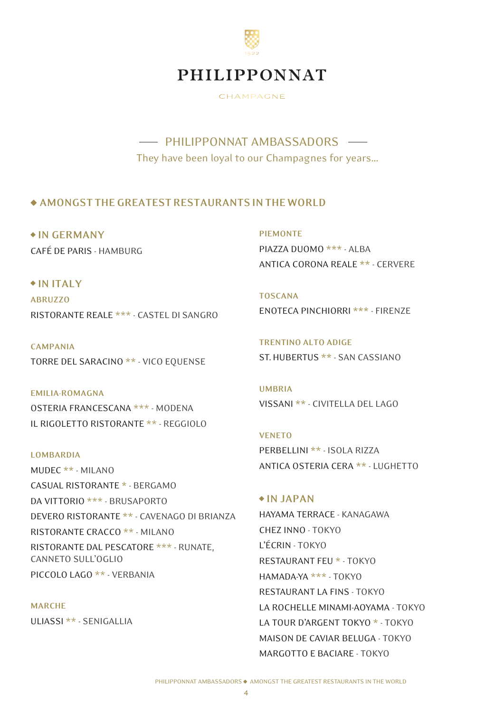

CHAMPAGNE

# - PHILIPPONNAT AMBASSADORS They have been loyal to our Champagnes for years…

## **AMONGST THE GREATEST RESTAURANTS IN THE WORLD**

 **IN GERMANY** CAFÉ DE PARIS - HAMBURG **PIEMONTE** PIAZZA DUOMO **\*\*\*** - ALBA ANTICA CORONA REALE **\*\*** - CERVERE

 **IN ITALY ABRUZZO** RISTORANTE REALE \*\*\* - CASTEL DI SANGRO

**CAMPANIA** TORRE DEL SARACINO \*\* - VICO EQUENSE

**EMILIA-ROMAGNA** OSTERIA FRANCESCANA \*\*\* - MODENA IL RIGOLETTO RISTORANTE \*\* - REGGIOLO

**LOMBARDIA** MUDEC \*\* - MILANO CASUAL RISTORANTE \* - BERGAMO DA VITTORIO \*\*\* - BRUSAPORTO DEVERO RISTORANTE \*\* - CAVENAGO DI BRIANZA RISTORANTE CRACCO \*\* - MILANO RISTORANTE DAL PESCATORE \*\*\* - RUNATE, CANNETO SULL'OGLIO

PICCOLO LAGO \*\* - VERBANIA

### **MARCHE**

ULIASSI \*\* - SENIGALLIA

**TOSCANA** ENOTECA PINCHIORRI **\*\*\*** - FIRENZE

**TRENTINO ALTO ADIGE** ST. HUBERTUS **\*\*** - SAN CASSIANO

**UMBRIA** VISSANI **\*\*** - CIVITELLA DEL LAGO

**VENETO** PERBELLINI **\*\*** - ISOLA RIZZA ANTICA OSTERIA CERA **\*\*** - LUGHETTO

### **IN JAPAN**

HAYAMA TERRACE - KANAGAWA CHEZ INNO - TOKYO L'ÉCRIN - TOKYO RESTAURANT FEU \* - TOKYO HAMADA-YA \*\*\* - TOKYO RESTAURANT LA FINS - TOKYO LA ROCHELLE MINAMI-AOYAMA - TOKYO LA TOUR D'ARGENT TOKYO \* - TOKYO MAISON DE CAVIAR BELUGA - TOKYO MARGOTTO E BACIARE - TOKYO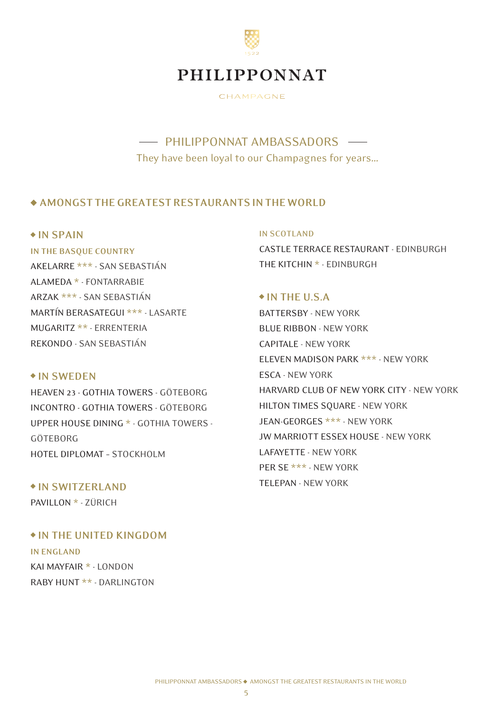

CHAMPAGNE

# - PHILIPPONNAT AMBASSADORS -They have been loyal to our Champagnes for years…

### **AMONGST THE GREATEST RESTAURANTS IN THE WORLD**

### **IN SPAIN**

**IN THE BASQUE COUNTRY** AKELARRE \*\*\* - SAN SEBASTIÁN ALAMEDA \* - FONTARRABIE ARZAK \*\*\* - SAN SEBASTIÁN MARTÍN BERASATEGUI \*\*\* - LASARTE MUGARITZ \*\* - ERRENTERIA REKONDO - SAN SEBASTIÁN

### **IN SWEDEN**

HEAVEN 23 - GOTHIA TOWERS - GÖTEBORG INCONTRO - GOTHIA TOWERS - GÖTEBORG UPPER HOUSE DINING \* - GOTHIA TOWERS - GÖTEBORG HOTEL DIPLOMAT – STOCKHOLM

 **IN SWITZERLAND** PAVILLON \* - ZÜRICH

### **IN THE UNITED KINGDOM**

**IN ENGLAND** KAI MAYFAIR \* - LONDON RABY HUNT \*\* - DARLINGTON

#### **IN SCOTLAND**

CASTLE TERRACE RESTAURANT - EDINBURGH THE KITCHIN \* - EDINBURGH

### **IN THE U.S.A**

BATTERSBY - NEW YORK BLUE RIBBON - NEW YORK CAPITALE - NEW YORK ELEVEN MADISON PARK \*\*\* - NEW YORK ESCA - NEW YORK HARVARD CLUB OF NEW YORK CITY - NEW YORK HILTON TIMES SQUARE - NEW YORK JEAN-GEORGES \*\*\* - NEW YORK JW MARRIOTT ESSEX HOUSE - NEW YORK LAFAYETTE - NEW YORK PER SE \*\*\* - NEW YORK TELEPAN - NEW YORK